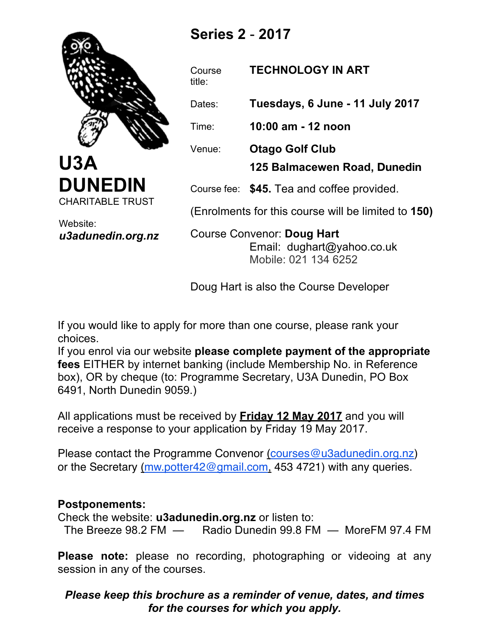

**Series 2** - **2017**

Course title:

# **TECHNOLOGY IN ART**

Dates: **Tuesdays, 6 June - 11 July 2017**

Time: **10:00 am - 12 noon**

Venue: **Otago Golf Club**

**125 Balmacewen Road, Dunedin**

Course fee: **\$45.** Tea and coffee provided.

(Enrolments for this course will be limited to **150)**

Course Convenor: **Doug Hart** Email: dughart@yahoo.co.uk Mobile: 021 134 6252

Doug Hart is also the Course Developer

If you would like to apply for more than one course, please rank your choices.

If you enrol via our website **please complete payment of the appropriate fees** EITHER by internet banking (include Membership No. in Reference box), OR by cheque (to: Programme Secretary, U3A Dunedin, PO Box 6491, North Dunedin 9059.)

All applications must be received by **Friday 12 May 2017** and you will receive a response to your application by Friday 19 May 2017.

or the Secretary (mw.potter42@gmail.com, 453 4721) with any queries. Please contact the Programme Convenor (courses@u3adunedin.org.nz)

## **Postponements:**

Check the website: **u3adunedin.org.nz** or listen to: The Breeze 98.2 FM — Radio Dunedin 99.8 FM — MoreFM 97.4 FM

**Please note:** please no recording, photographing or videoing at any session in any of the courses.

## *Please keep this brochure as a reminder of venue, dates, and times for the courses for which you apply.*

Website: *u3adunedin.org.nz*

**DUNEDIN**

CHARITABLE TRUST